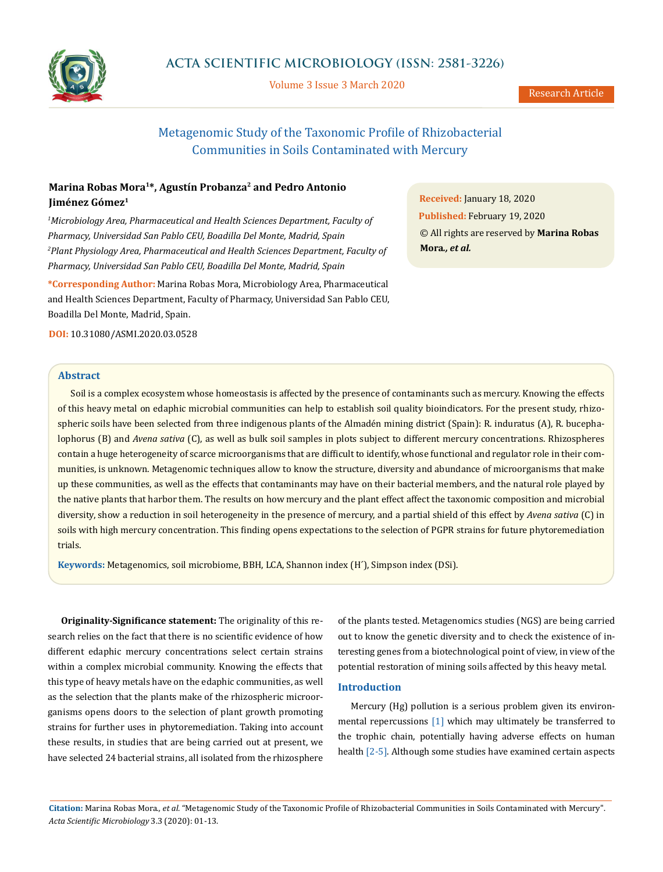

Volume 3 Issue 3 March 2020

# Metagenomic Study of the Taxonomic Profile of Rhizobacterial Communities in Soils Contaminated with Mercury

# **Marina Robas Mora1\*, Agustín Probanza2 and Pedro Antonio Jiménez Gómez1**

*1 Microbiology Area, Pharmaceutical and Health Sciences Department, Faculty of Pharmacy, Universidad San Pablo CEU, Boadilla Del Monte, Madrid, Spain 2 Plant Physiology Area, Pharmaceutical and Health Sciences Department, Faculty of Pharmacy, Universidad San Pablo CEU, Boadilla Del Monte, Madrid, Spain*

**\*Corresponding Author:** Marina Robas Mora, Microbiology Area, Pharmaceutical and Health Sciences Department, Faculty of Pharmacy, Universidad San Pablo CEU, Boadilla Del Monte, Madrid, Spain.

**DOI:** [10.31080/ASMI.2020.03.0528](https://actascientific.com/ASMI/pdf/ASMI-03-0528.pdf)

**Mora***., et al.*

**Received:** January 18, 2020 **Published:** February 19, 2020

© All rights are reserved by **Marina Robas** 

## **Abstract**

Soil is a complex ecosystem whose homeostasis is affected by the presence of contaminants such as mercury. Knowing the effects of this heavy metal on edaphic microbial communities can help to establish soil quality bioindicators. For the present study, rhizospheric soils have been selected from three indigenous plants of the Almadén mining district (Spain): R. induratus (A), R. bucephalophorus (B) and *Avena sativa* (C), as well as bulk soil samples in plots subject to different mercury concentrations. Rhizospheres contain a huge heterogeneity of scarce microorganisms that are difficult to identify, whose functional and regulator role in their communities, is unknown. Metagenomic techniques allow to know the structure, diversity and abundance of microorganisms that make up these communities, as well as the effects that contaminants may have on their bacterial members, and the natural role played by the native plants that harbor them. The results on how mercury and the plant effect affect the taxonomic composition and microbial diversity, show a reduction in soil heterogeneity in the presence of mercury, and a partial shield of this effect by *Avena sativa* (C) in soils with high mercury concentration. This finding opens expectations to the selection of PGPR strains for future phytoremediation trials.

**Keywords:** Metagenomics, soil microbiome, BBH, LCA, Shannon index (H´), Simpson index (DSi).

**Originality-Significance statement:** The originality of this research relies on the fact that there is no scientific evidence of how different edaphic mercury concentrations select certain strains within a complex microbial community. Knowing the effects that this type of heavy metals have on the edaphic communities, as well as the selection that the plants make of the rhizospheric microorganisms opens doors to the selection of plant growth promoting strains for further uses in phytoremediation. Taking into account these results, in studies that are being carried out at present, we have selected 24 bacterial strains, all isolated from the rhizosphere

of the plants tested. Metagenomics studies (NGS) are being carried out to know the genetic diversity and to check the existence of interesting genes from a biotechnological point of view, in view of the potential restoration of mining soils affected by this heavy metal.

# **Introduction**

Mercury (Hg) pollution is a serious problem given its environmental repercussions [1] which may ultimately be transferred to the trophic chain, potentially having adverse effects on human health [2-5]. Although some studies have examined certain aspects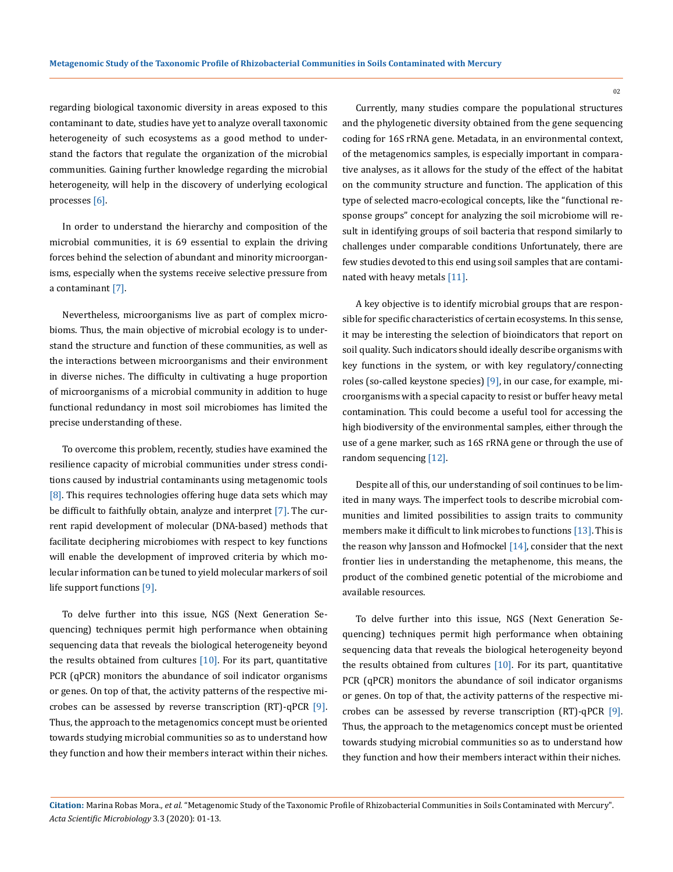regarding biological taxonomic diversity in areas exposed to this contaminant to date, studies have yet to analyze overall taxonomic heterogeneity of such ecosystems as a good method to understand the factors that regulate the organization of the microbial communities. Gaining further knowledge regarding the microbial heterogeneity, will help in the discovery of underlying ecological processes [6].

In order to understand the hierarchy and composition of the microbial communities, it is 69 essential to explain the driving forces behind the selection of abundant and minority microorganisms, especially when the systems receive selective pressure from a contaminant [7].

Nevertheless, microorganisms live as part of complex microbioms. Thus, the main objective of microbial ecology is to understand the structure and function of these communities, as well as the interactions between microorganisms and their environment in diverse niches. The difficulty in cultivating a huge proportion of microorganisms of a microbial community in addition to huge functional redundancy in most soil microbiomes has limited the precise understanding of these.

To overcome this problem, recently, studies have examined the resilience capacity of microbial communities under stress conditions caused by industrial contaminants using metagenomic tools [8]. This requires technologies offering huge data sets which may be difficult to faithfully obtain, analyze and interpret [7]. The current rapid development of molecular (DNA-based) methods that facilitate deciphering microbiomes with respect to key functions will enable the development of improved criteria by which molecular information can be tuned to yield molecular markers of soil life support functions [9].

To delve further into this issue, NGS (Next Generation Sequencing) techniques permit high performance when obtaining sequencing data that reveals the biological heterogeneity beyond the results obtained from cultures  $[10]$ . For its part, quantitative PCR (qPCR) monitors the abundance of soil indicator organisms or genes. On top of that, the activity patterns of the respective microbes can be assessed by reverse transcription (RT)-qPCR [9]. Thus, the approach to the metagenomics concept must be oriented towards studying microbial communities so as to understand how they function and how their members interact within their niches.

Currently, many studies compare the populational structures and the phylogenetic diversity obtained from the gene sequencing coding for 16S rRNA gene. Metadata, in an environmental context, of the metagenomics samples, is especially important in comparative analyses, as it allows for the study of the effect of the habitat on the community structure and function. The application of this type of selected macro-ecological concepts, like the "functional response groups" concept for analyzing the soil microbiome will result in identifying groups of soil bacteria that respond similarly to challenges under comparable conditions Unfortunately, there are few studies devoted to this end using soil samples that are contaminated with heavy metals [11].

A key objective is to identify microbial groups that are responsible for specific characteristics of certain ecosystems. In this sense, it may be interesting the selection of bioindicators that report on soil quality. Such indicators should ideally describe organisms with key functions in the system, or with key regulatory/connecting roles (so-called keystone species) [9], in our case, for example, microorganisms with a special capacity to resist or buffer heavy metal contamination. This could become a useful tool for accessing the high biodiversity of the environmental samples, either through the use of a gene marker, such as 16S rRNA gene or through the use of random sequencing [12].

Despite all of this, our understanding of soil continues to be limited in many ways. The imperfect tools to describe microbial communities and limited possibilities to assign traits to community members make it difficult to link microbes to functions  $[13]$ . This is the reason why Jansson and Hofmockel  $[14]$ , consider that the next frontier lies in understanding the metaphenome, this means, the product of the combined genetic potential of the microbiome and available resources.

To delve further into this issue, NGS (Next Generation Sequencing) techniques permit high performance when obtaining sequencing data that reveals the biological heterogeneity beyond the results obtained from cultures  $[10]$ . For its part, quantitative PCR (qPCR) monitors the abundance of soil indicator organisms or genes. On top of that, the activity patterns of the respective microbes can be assessed by reverse transcription  $(RT)$ -qPCR  $[9]$ . Thus, the approach to the metagenomics concept must be oriented towards studying microbial communities so as to understand how they function and how their members interact within their niches.

**Citation:** Marina Robas Mora*., et al.* "Metagenomic Study of the Taxonomic Profile of Rhizobacterial Communities in Soils Contaminated with Mercury". *Acta Scientific Microbiology* 3.3 (2020): 01-13.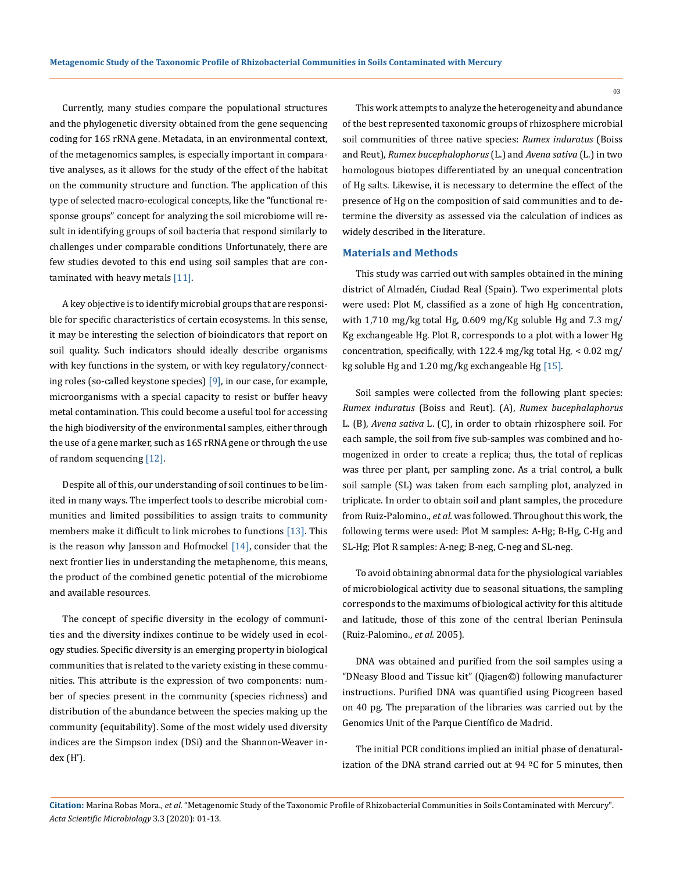Currently, many studies compare the populational structures and the phylogenetic diversity obtained from the gene sequencing coding for 16S rRNA gene. Metadata, in an environmental context, of the metagenomics samples, is especially important in comparative analyses, as it allows for the study of the effect of the habitat on the community structure and function. The application of this type of selected macro-ecological concepts, like the "functional response groups" concept for analyzing the soil microbiome will result in identifying groups of soil bacteria that respond similarly to challenges under comparable conditions Unfortunately, there are few studies devoted to this end using soil samples that are contaminated with heavy metals [11].

A key objective is to identify microbial groups that are responsible for specific characteristics of certain ecosystems. In this sense, it may be interesting the selection of bioindicators that report on soil quality. Such indicators should ideally describe organisms with key functions in the system, or with key regulatory/connecting roles (so-called keystone species) [9], in our case, for example, microorganisms with a special capacity to resist or buffer heavy metal contamination. This could become a useful tool for accessing the high biodiversity of the environmental samples, either through the use of a gene marker, such as 16S rRNA gene or through the use of random sequencing [12].

Despite all of this, our understanding of soil continues to be limited in many ways. The imperfect tools to describe microbial communities and limited possibilities to assign traits to community members make it difficult to link microbes to functions [13]. This is the reason why Jansson and Hofmockel [14], consider that the next frontier lies in understanding the metaphenome, this means, the product of the combined genetic potential of the microbiome and available resources.

The concept of specific diversity in the ecology of communities and the diversity indixes continue to be widely used in ecology studies. Specific diversity is an emerging property in biological communities that is related to the variety existing in these communities. This attribute is the expression of two components: number of species present in the community (species richness) and distribution of the abundance between the species making up the community (equitability). Some of the most widely used diversity indices are the Simpson index (DSi) and the Shannon-Weaver index (H').

This work attempts to analyze the heterogeneity and abundance of the best represented taxonomic groups of rhizosphere microbial soil communities of three native species: *Rumex induratus* (Boiss and Reut), *Rumex bucephalophorus* (L.) and *Avena sativa* (L.) in two homologous biotopes differentiated by an unequal concentration of Hg salts. Likewise, it is necessary to determine the effect of the presence of Hg on the composition of said communities and to determine the diversity as assessed via the calculation of indices as widely described in the literature.

#### **Materials and Methods**

This study was carried out with samples obtained in the mining district of Almadén, Ciudad Real (Spain). Two experimental plots were used: Plot M, classified as a zone of high Hg concentration, with 1,710 mg/kg total Hg, 0.609 mg/Kg soluble Hg and 7.3 mg/ Kg exchangeable Hg. Plot R, corresponds to a plot with a lower Hg concentration, specifically, with 122.4 mg/kg total Hg, < 0.02 mg/ kg soluble Hg and 1.20 mg/kg exchangeable Hg [15].

Soil samples were collected from the following plant species: *Rumex induratus* (Boiss and Reut). (A), *Rumex bucephalaphorus* L. (B), *Avena sativa* L. (C), in order to obtain rhizosphere soil. For each sample, the soil from five sub-samples was combined and homogenized in order to create a replica; thus, the total of replicas was three per plant, per sampling zone. As a trial control, a bulk soil sample (SL) was taken from each sampling plot, analyzed in triplicate. In order to obtain soil and plant samples, the procedure from Ruiz-Palomino., *et al.* was followed. Throughout this work, the following terms were used: Plot M samples: A-Hg; B-Hg, C-Hg and SL-Hg; Plot R samples: A-neg; B-neg, C-neg and SL-neg.

To avoid obtaining abnormal data for the physiological variables of microbiological activity due to seasonal situations, the sampling corresponds to the maximums of biological activity for this altitude and latitude, those of this zone of the central Iberian Peninsula (Ruiz-Palomino., *et al.* 2005).

DNA was obtained and purified from the soil samples using a "DNeasy Blood and Tissue kit" (Qiagen©) following manufacturer instructions. Purified DNA was quantified using Picogreen based on 40 pg. The preparation of the libraries was carried out by the Genomics Unit of the Parque Científico de Madrid.

The initial PCR conditions implied an initial phase of denaturalization of the DNA strand carried out at 94 ºC for 5 minutes, then

**Citation:** Marina Robas Mora*., et al.* "Metagenomic Study of the Taxonomic Profile of Rhizobacterial Communities in Soils Contaminated with Mercury". *Acta Scientific Microbiology* 3.3 (2020): 01-13.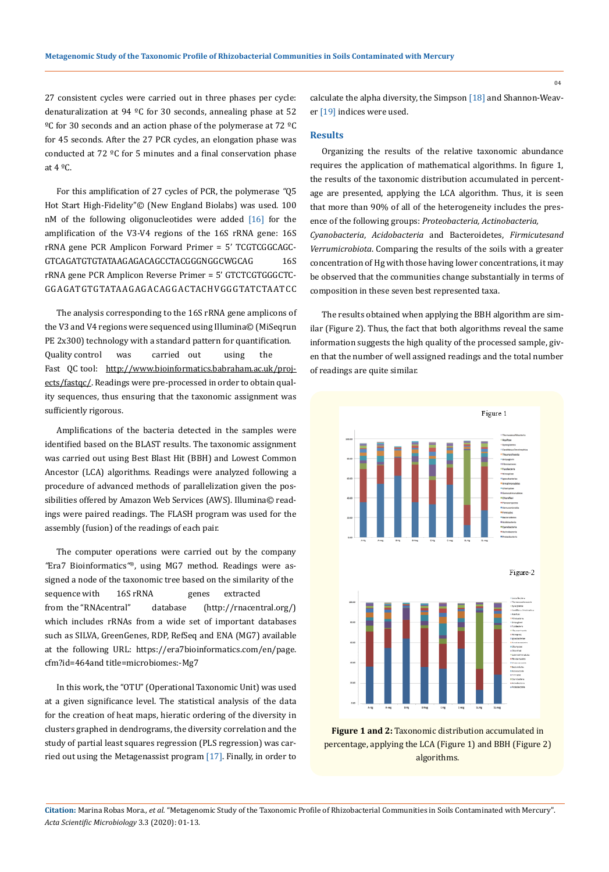27 consistent cycles were carried out in three phases per cycle: denaturalization at 94 ºC for 30 seconds, annealing phase at 52  $°C$  for 30 seconds and an action phase of the polymerase at 72 $°C$ for 45 seconds. After the 27 PCR cycles, an elongation phase was conducted at 72 ºC for 5 minutes and a final conservation phase at 4 ºC.

For this amplification of 27 cycles of PCR, the polymerase *"*Q5 Hot Start High-Fidelity"© (New England Biolabs) was used. 100 nM of the following oligonucleotides were added [16] for the amplification of the V3-V4 regions of the 16S rRNA gene: 16S rRNA gene PCR Amplicon Forward Primer = 5' TCGTCGGCAGC-GTCAGATGTGTATAAGAGACAGCCTACGGGNGGCWGCAG 16S rRNA gene PCR Amplicon Reverse Primer = 5' GTCTCGTGGGCTC-GGAGATGTGTATAAGAGACAGGACTACHVGGGTATCTAATCC

The analysis corresponding to the 16S rRNA gene amplicons of the V3 and V4 regions were sequenced using Illumina© (MiSeqrun PE 2x300) technology with a standard pattern for quantification. Quality control was carried out using the Fast QC tool: http://www.bioinformatics.babraham.ac.uk/projects/fastqc/. Readings were pre-processed in order to obtain quality sequences, thus ensuring that the taxonomic assignment was sufficiently rigorous.

Amplifications of the bacteria detected in the samples were identified based on the BLAST results. The taxonomic assignment was carried out using Best Blast Hit (BBH) and Lowest Common Ancestor (LCA) algorithms. Readings were analyzed following a procedure of advanced methods of parallelization given the possibilities offered by Amazon Web Services (AWS). Illumina© readings were paired readings. The FLASH program was used for the assembly (fusion) of the readings of each pair.

The computer operations were carried out by the company *"*Era7 Bioinformatics*"*®, using MG7 method. Readings were assigned a node of the taxonomic tree based on the similarity of the sequence with 16S rRNA genes extracted from the "RNAcentral" database (http://rnacentral.org/) which includes rRNAs from a wide set of important databases such as SILVA, GreenGenes, RDP, RefSeq and ENA (MG7) available at the following URL: [https://era7bioinformatics.com/en/page.](https://era7bioinformatics.com/en/page.cfm?id=464&title=microbiomes:-Mg7) [cfm?id=464and title=microbiomes:-Mg7](https://era7bioinformatics.com/en/page.cfm?id=464&title=microbiomes:-Mg7)

In this work, the "OTU" (Operational Taxonomic Unit) was used at a given significance level. The statistical analysis of the data for the creation of heat maps, hieratic ordering of the diversity in clusters graphed in dendrograms, the diversity correlation and the study of partial least squares regression (PLS regression) was carried out using the Metagenassist program [17]. Finally, in order to calculate the alpha diversity, the Simpson [18] and Shannon-Weaver [19] indices were used.

#### **Results**

Organizing the results of the relative taxonomic abundance requires the application of mathematical algorithms. In figure 1, the results of the taxonomic distribution accumulated in percentage are presented, applying the LCA algorithm. Thus, it is seen that more than 90% of all of the heterogeneity includes the presence of the following groups: *Proteobacteria, Actinobacteria, Cyanobacteria*, *Acidobacteria* and Bacteroidetes, *Firmicutesand Verrumicrobiota*. Comparing the results of the soils with a greater concentration of Hg with those having lower concentrations, it may be observed that the communities change substantially in terms of composition in these seven best represented taxa.

The results obtained when applying the BBH algorithm are similar (Figure 2). Thus, the fact that both algorithms reveal the same information suggests the high quality of the processed sample, given that the number of well assigned readings and the total number of readings are quite similar.





**Citation:** Marina Robas Mora*., et al.* "Metagenomic Study of the Taxonomic Profile of Rhizobacterial Communities in Soils Contaminated with Mercury". *Acta Scientific Microbiology* 3.3 (2020): 01-13.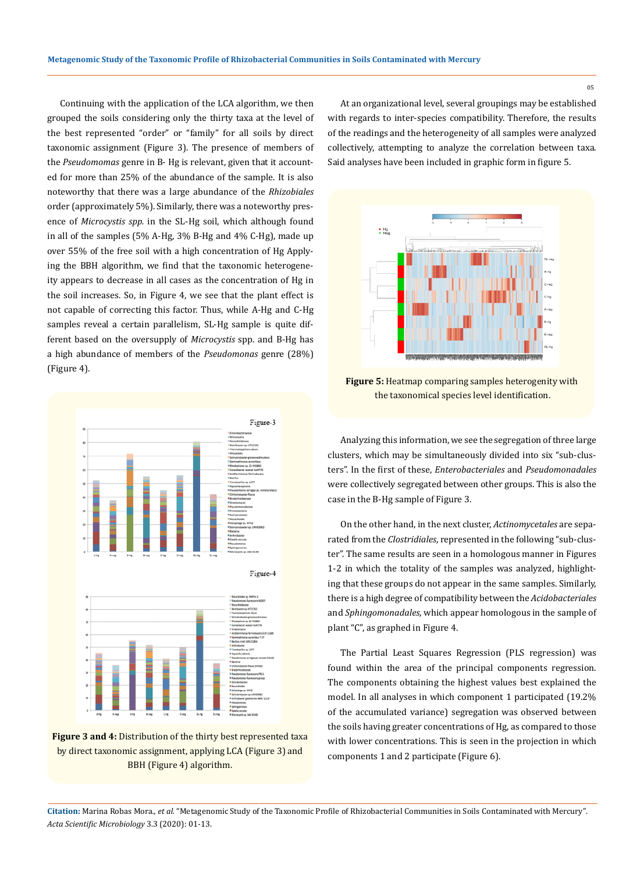Continuing with the application of the LCA algorithm, we then grouped the soils considering only the thirty taxa at the level of the best represented "order" or "family" for all soils by direct taxonomic assignment (Figure 3). The presence of members of the *Pseudomomas* genre in B- Hg is relevant, given that it accounted for more than 25% of the abundance of the sample. It is also noteworthy that there was a large abundance of the *Rhizobiales* order (approximately 5%). Similarly, there was a noteworthy presence of *Microcystis spp.* in the SL-Hg soil, which although found in all of the samples (5% A-Hg, 3% B-Hg and 4% C-Hg), made up over 55% of the free soil with a high concentration of Hg Applying the BBH algorithm, we find that the taxonomic heterogeneity appears to decrease in all cases as the concentration of Hg in the soil increases. So, in Figure 4, we see that the plant effect is not capable of correcting this factor. Thus, while A-Hg and C-Hg samples reveal a certain parallelism, SL-Hg sample is quite different based on the oversupply of *Microcystis* spp. and B-Hg has a high abundance of members of the *Pseudomonas* genre (28%) (Figure 4).



**Figure 3 and 4:** Distribution of the thirty best represented taxa by direct taxonomic assignment, applying LCA (Figure 3) and BBH (Figure 4) algorithm.

At an organizational level, several groupings may be established with regards to inter-species compatibility. Therefore, the results of the readings and the heterogeneity of all samples were analyzed collectively, attempting to analyze the correlation between taxa. Said analyses have been included in graphic form in figure 5.



**Figure 5:** Heatmap comparing samples heterogenity with the taxonomical species level identification.

Analyzing this information, we see the segregation of three large clusters, which may be simultaneously divided into six "sub-clusters". In the first of these, *Enterobacteriales* and *Pseudomonadales*  were collectively segregated between other groups. This is also the case in the B-Hg sample of Figure 3.

On the other hand, in the next cluster, *Actinomycetales* are separated from the *Clostridiales*, represented in the following "sub-cluster". The same results are seen in a homologous manner in Figures 1-2 in which the totality of the samples was analyzed, highlighting that these groups do not appear in the same samples. Similarly, there is a high degree of compatibility between the *Acidobacteriales* and *Sphingomonadales*, which appear homologous in the sample of plant "C", as graphed in Figure 4.

The Partial Least Squares Regression (PLS regression) was found within the area of the principal components regression. The components obtaining the highest values best explained the model. In all analyses in which component 1 participated (19.2% of the accumulated variance) segregation was observed between the soils having greater concentrations of Hg, as compared to those with lower concentrations. This is seen in the projection in which components 1 and 2 participate (Figure 6).

**Citation:** Marina Robas Mora*., et al.* "Metagenomic Study of the Taxonomic Profile of Rhizobacterial Communities in Soils Contaminated with Mercury". *Acta Scientific Microbiology* 3.3 (2020): 01-13.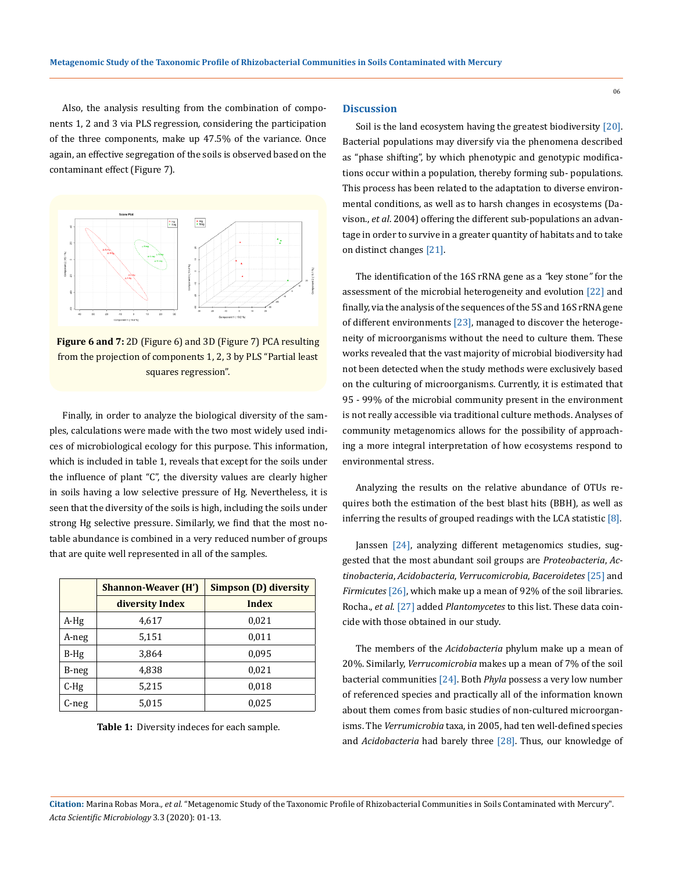Also, the analysis resulting from the combination of components 1, 2 and 3 via PLS regression*,* considering the participation of the three components, make up 47.5% of the variance. Once again, an effective segregation of the soils is observed based on the contaminant effect (Figure 7).



**Figure 6 and 7:** 2D (Figure 6) and 3D (Figure 7) PCA resulting from the projection of components 1, 2, 3 by PLS "Partial least squares regression".

Finally, in order to analyze the biological diversity of the samples, calculations were made with the two most widely used indices of microbiological ecology for this purpose. This information, which is included in table 1, reveals that except for the soils under the influence of plant "C", the diversity values are clearly higher in soils having a low selective pressure of Hg. Nevertheless, it is seen that the diversity of the soils is high, including the soils under strong Hg selective pressure. Similarly, we find that the most notable abundance is combined in a very reduced number of groups that are quite well represented in all of the samples.

|        | <b>Shannon-Weaver (H')</b> | <b>Simpson (D) diversity</b> |
|--------|----------------------------|------------------------------|
|        | diversity Index            | <b>Index</b>                 |
| $A-Hg$ | 4,617                      | 0,021                        |
| A-neg  | 5,151                      | 0,011                        |
| $B-Hg$ | 3,864                      | 0,095                        |
| B-neg  | 4.838                      | 0,021                        |
| $C-Hg$ | 5,215                      | 0,018                        |
| C-neg  | 5,015                      | 0,025                        |

**Table 1:** Diversity indeces for each sample.

### **Discussion**

Soil is the land ecosystem having the greatest biodiversity [20]. Bacterial populations may diversify via the phenomena described as "phase shifting", by which phenotypic and genotypic modifications occur within a population, thereby forming sub- populations. This process has been related to the adaptation to diverse environmental conditions, as well as to harsh changes in ecosystems (Davison., *et al*. 2004) offering the different sub-populations an advantage in order to survive in a greater quantity of habitats and to take on distinct changes [21].

The identification of the 16S rRNA gene as a *"*key stone*"* for the assessment of the microbial heterogeneity and evolution [22] and finally, via the analysis of the sequences of the 5S and 16S rRNA gene of different environments [23], managed to discover the heterogeneity of microorganisms without the need to culture them. These works revealed that the vast majority of microbial biodiversity had not been detected when the study methods were exclusively based on the culturing of microorganisms. Currently, it is estimated that 95 - 99% of the microbial community present in the environment is not really accessible via traditional culture methods. Analyses of community metagenomics allows for the possibility of approaching a more integral interpretation of how ecosystems respond to environmental stress.

Analyzing the results on the relative abundance of OTUs requires both the estimation of the best blast hits (BBH), as well as inferring the results of grouped readings with the LCA statistic  $[8]$ .

Janssen [24], analyzing different metagenomics studies, suggested that the most abundant soil groups are *Proteobacteria*, *Actinobacteria*, *Acidobacteria*, *Verrucomicrobia*, *Baceroidetes* [25] and *Firmicutes* [26], which make up a mean of 92% of the soil libraries. Rocha., *et al*. [27] added *Plantomycetes* to this list. These data coincide with those obtained in our study.

The members of the *Acidobacteria* phylum make up a mean of 20%. Similarly, *Verrucomicrobia* makes up a mean of 7% of the soil bacterial communities [24]. Both *Phyla* possess a very low number of referenced species and practically all of the information known about them comes from basic studies of non-cultured microorganisms. The *Verrumicrobia* taxa, in 2005, had ten well-defined species and *Acidobacteria* had barely three [28]. Thus, our knowledge of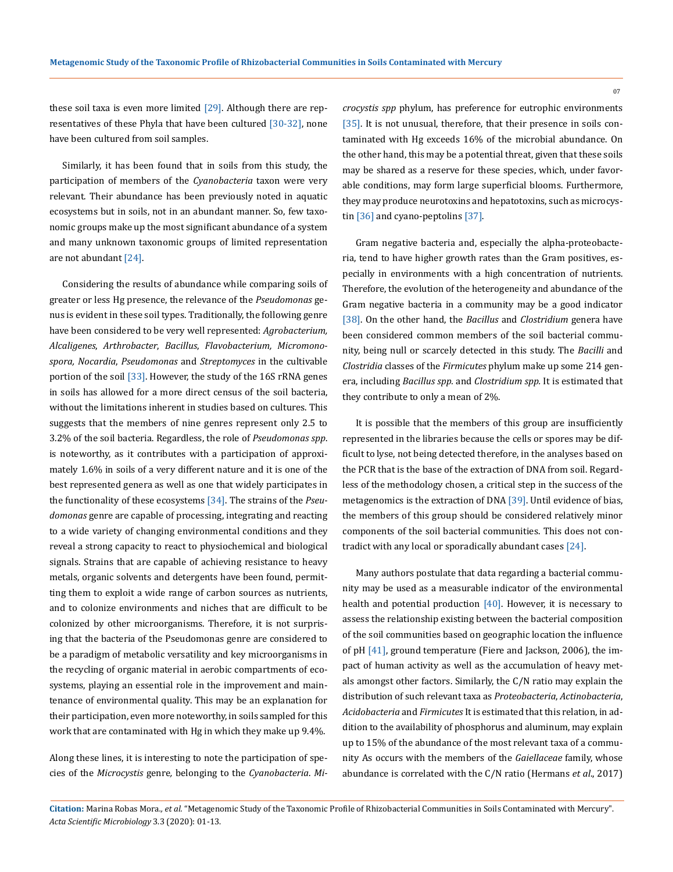these soil taxa is even more limited [29]. Although there are representatives of these Phyla that have been cultured [30-32], none have been cultured from soil samples.

Similarly, it has been found that in soils from this study, the participation of members of the *Cyanobacteria* taxon were very relevant*.* Their abundance has been previously noted in aquatic ecosystems but in soils, not in an abundant manner. So, few taxonomic groups make up the most significant abundance of a system and many unknown taxonomic groups of limited representation are not abundant [24].

Considering the results of abundance while comparing soils of greater or less Hg presence, the relevance of the *Pseudomonas* genus is evident in these soil types. Traditionally, the following genre have been considered to be very well represented: *Agrobacterium, Alcaligenes*, *Arthrobacter*, *Bacillus*, *Flavobacterium, Micromonospora, Nocardia*, *Pseudomonas* and *Streptomyces* in the cultivable portion of the soil [33]. However, the study of the 16S rRNA genes in soils has allowed for a more direct census of the soil bacteria, without the limitations inherent in studies based on cultures. This suggests that the members of nine genres represent only 2.5 to 3.2% of the soil bacteria. Regardless, the role of *Pseudomonas spp*. is noteworthy, as it contributes with a participation of approximately 1.6% in soils of a very different nature and it is one of the best represented genera as well as one that widely participates in the functionality of these ecosystems [34]. The strains of the *Pseudomonas* genre are capable of processing, integrating and reacting to a wide variety of changing environmental conditions and they reveal a strong capacity to react to physiochemical and biological signals. Strains that are capable of achieving resistance to heavy metals, organic solvents and detergents have been found, permitting them to exploit a wide range of carbon sources as nutrients, and to colonize environments and niches that are difficult to be colonized by other microorganisms. Therefore, it is not surprising that the bacteria of the Pseudomonas genre are considered to be a paradigm of metabolic versatility and key microorganisms in the recycling of organic material in aerobic compartments of ecosystems, playing an essential role in the improvement and maintenance of environmental quality. This may be an explanation for their participation, even more noteworthy, in soils sampled for this work that are contaminated with Hg in which they make up 9.4%.

Along these lines, it is interesting to note the participation of species of the *Microcystis* genre*,* belonging to the *Cyanobacteria*. *Mi-* *crocystis spp* phylum, has preference for eutrophic environments [35]. It is not unusual, therefore, that their presence in soils contaminated with Hg exceeds 16% of the microbial abundance. On the other hand, this may be a potential threat, given that these soils may be shared as a reserve for these species, which, under favorable conditions, may form large superficial blooms. Furthermore, they may produce neurotoxins and hepatotoxins, such as microcystin [36] and cyano-peptolins [37].

Gram negative bacteria and, especially the alpha-proteobacteria, tend to have higher growth rates than the Gram positives, especially in environments with a high concentration of nutrients. Therefore, the evolution of the heterogeneity and abundance of the Gram negative bacteria in a community may be a good indicator [38]. On the other hand, the *Bacillus* and *Clostridium* genera have been considered common members of the soil bacterial community, being null or scarcely detected in this study. The *Bacilli* and *Clostridia* classes of the *Firmicutes* phylum make up some 214 genera, including *Bacillus spp.* and *Clostridium spp.* It is estimated that they contribute to only a mean of 2%.

It is possible that the members of this group are insufficiently represented in the libraries because the cells or spores may be difficult to lyse, not being detected therefore, in the analyses based on the PCR that is the base of the extraction of DNA from soil. Regardless of the methodology chosen, a critical step in the success of the metagenomics is the extraction of DNA [39]. Until evidence of bias, the members of this group should be considered relatively minor components of the soil bacterial communities. This does not contradict with any local or sporadically abundant cases [24].

Many authors postulate that data regarding a bacterial community may be used as a measurable indicator of the environmental health and potential production  $[40]$ . However, it is necessary to assess the relationship existing between the bacterial composition of the soil communities based on geographic location the influence of pH [41], ground temperature (Fiere and Jackson, 2006), the impact of human activity as well as the accumulation of heavy metals amongst other factors. Similarly, the C/N ratio may explain the distribution of such relevant taxa as *Proteobacteria*, *Actinobacteria*, *Acidobacteria* and *Firmicutes* It is estimated that this relation, in addition to the availability of phosphorus and aluminum, may explain up to 15% of the abundance of the most relevant taxa of a community As occurs with the members of the *Gaiellaceae* family, whose abundance is correlated with the C/N ratio (Hermans *et al*., 2017)

**Citation:** Marina Robas Mora*., et al.* "Metagenomic Study of the Taxonomic Profile of Rhizobacterial Communities in Soils Contaminated with Mercury". *Acta Scientific Microbiology* 3.3 (2020): 01-13.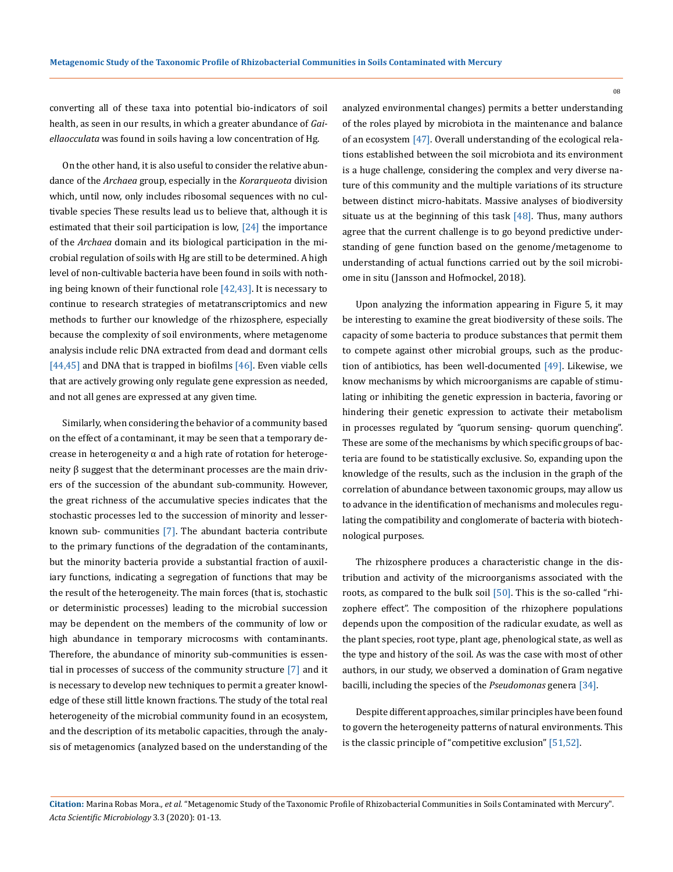converting all of these taxa into potential bio-indicators of soil health, as seen in our results, in which a greater abundance of *Gaiellaocculata* was found in soils having a low concentration of Hg.

On the other hand, it is also useful to consider the relative abundance of the *Archaea* group, especially in the *Korarqueota* division which, until now, only includes ribosomal sequences with no cultivable species These results lead us to believe that, although it is estimated that their soil participation is low, [24] the importance of the *Archaea* domain and its biological participation in the microbial regulation of soils with Hg are still to be determined. A high level of non-cultivable bacteria have been found in soils with nothing being known of their functional role [42,43]. It is necessary to continue to research strategies of metatranscriptomics and new methods to further our knowledge of the rhizosphere, especially because the complexity of soil environments, where metagenome analysis include relic DNA extracted from dead and dormant cells [44,45] and DNA that is trapped in biofilms [46]. Even viable cells that are actively growing only regulate gene expression as needed, and not all genes are expressed at any given time.

Similarly, when considering the behavior of a community based on the effect of a contaminant, it may be seen that a temporary decrease in heterogeneity α and a high rate of rotation for heterogeneity β suggest that the determinant processes are the main drivers of the succession of the abundant sub-community. However, the great richness of the accumulative species indicates that the stochastic processes led to the succession of minority and lesserknown sub- communities [7]. The abundant bacteria contribute to the primary functions of the degradation of the contaminants, but the minority bacteria provide a substantial fraction of auxiliary functions, indicating a segregation of functions that may be the result of the heterogeneity. The main forces (that is, stochastic or deterministic processes) leading to the microbial succession may be dependent on the members of the community of low or high abundance in temporary microcosms with contaminants. Therefore, the abundance of minority sub-communities is essential in processes of success of the community structure [7] and it is necessary to develop new techniques to permit a greater knowledge of these still little known fractions. The study of the total real heterogeneity of the microbial community found in an ecosystem, and the description of its metabolic capacities, through the analysis of metagenomics (analyzed based on the understanding of the analyzed environmental changes) permits a better understanding of the roles played by microbiota in the maintenance and balance of an ecosystem [47]. Overall understanding of the ecological relations established between the soil microbiota and its environment is a huge challenge, considering the complex and very diverse nature of this community and the multiple variations of its structure between distinct micro-habitats. Massive analyses of biodiversity situate us at the beginning of this task  $[48]$ . Thus, many authors agree that the current challenge is to go beyond predictive understanding of gene function based on the genome/metagenome to understanding of actual functions carried out by the soil microbiome in situ (Jansson and Hofmockel, 2018).

Upon analyzing the information appearing in Figure 5, it may be interesting to examine the great biodiversity of these soils. The capacity of some bacteria to produce substances that permit them to compete against other microbial groups, such as the production of antibiotics, has been well-documented [49]. Likewise, we know mechanisms by which microorganisms are capable of stimulating or inhibiting the genetic expression in bacteria, favoring or hindering their genetic expression to activate their metabolism in processes regulated by *"*quorum sensing- quorum quenching". These are some of the mechanisms by which specific groups of bacteria are found to be statistically exclusive. So, expanding upon the knowledge of the results, such as the inclusion in the graph of the correlation of abundance between taxonomic groups, may allow us to advance in the identification of mechanisms and molecules regulating the compatibility and conglomerate of bacteria with biotechnological purposes.

The rhizosphere produces a characteristic change in the distribution and activity of the microorganisms associated with the roots, as compared to the bulk soil [50]. This is the so-called "rhizophere effect". The composition of the rhizophere populations depends upon the composition of the radicular exudate, as well as the plant species, root type, plant age, phenological state, as well as the type and history of the soil. As was the case with most of other authors, in our study, we observed a domination of Gram negative bacilli, including the species of the *Pseudomonas* genera [34].

Despite different approaches, similar principles have been found to govern the heterogeneity patterns of natural environments. This is the classic principle of "competitive exclusion" [51,52].

**Citation:** Marina Robas Mora*., et al.* "Metagenomic Study of the Taxonomic Profile of Rhizobacterial Communities in Soils Contaminated with Mercury". *Acta Scientific Microbiology* 3.3 (2020): 01-13.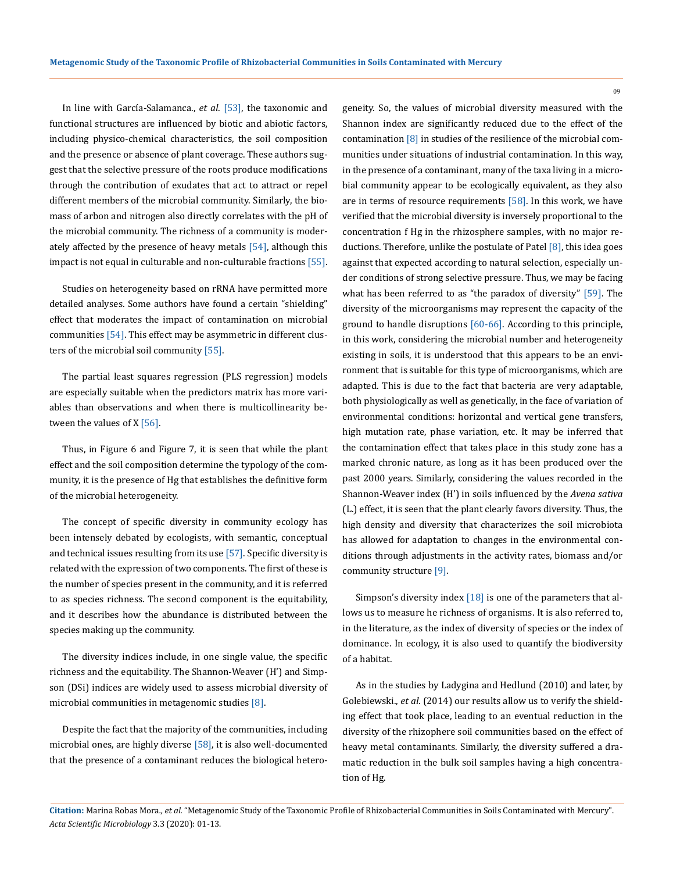In line with García-Salamanca., *et al*. [53], the taxonomic and functional structures are influenced by biotic and abiotic factors, including physico-chemical characteristics, the soil composition and the presence or absence of plant coverage. These authors suggest that the selective pressure of the roots produce modifications through the contribution of exudates that act to attract or repel different members of the microbial community. Similarly, the biomass of arbon and nitrogen also directly correlates with the pH of the microbial community. The richness of a community is moderately affected by the presence of heavy metals [54], although this impact is not equal in culturable and non-culturable fractions [55].

Studies on heterogeneity based on rRNA have permitted more detailed analyses. Some authors have found a certain "shielding" effect that moderates the impact of contamination on microbial communities [54]. This effect may be asymmetric in different clusters of the microbial soil community [55].

The partial least squares regression (PLS regression) models are especially suitable when the predictors matrix has more variables than observations and when there is multicollinearity between the values of X [56].

Thus, in Figure 6 and Figure 7, it is seen that while the plant effect and the soil composition determine the typology of the community, it is the presence of Hg that establishes the definitive form of the microbial heterogeneity.

The concept of specific diversity in community ecology has been intensely debated by ecologists, with semantic, conceptual and technical issues resulting from its use [57]. Specific diversity is related with the expression of two components. The first of these is the number of species present in the community, and it is referred to as species richness. The second component is the equitability, and it describes how the abundance is distributed between the species making up the community.

The diversity indices include, in one single value, the specific richness and the equitability. The Shannon-Weaver (H') and Simpson (DSi) indices are widely used to assess microbial diversity of microbial communities in metagenomic studies [8].

Despite the fact that the majority of the communities, including microbial ones, are highly diverse [58], it is also well-documented that the presence of a contaminant reduces the biological heterogeneity. So, the values of microbial diversity measured with the Shannon index are significantly reduced due to the effect of the contamination [8] in studies of the resilience of the microbial communities under situations of industrial contamination. In this way, in the presence of a contaminant, many of the taxa living in a microbial community appear to be ecologically equivalent, as they also are in terms of resource requirements [58]. In this work, we have verified that the microbial diversity is inversely proportional to the concentration f Hg in the rhizosphere samples, with no major reductions. Therefore, unlike the postulate of Patel [8], this idea goes against that expected according to natural selection, especially under conditions of strong selective pressure. Thus, we may be facing what has been referred to as "the paradox of diversity" [59]. The diversity of the microorganisms may represent the capacity of the ground to handle disruptions [60-66]. According to this principle, in this work, considering the microbial number and heterogeneity existing in soils, it is understood that this appears to be an environment that is suitable for this type of microorganisms, which are adapted. This is due to the fact that bacteria are very adaptable, both physiologically as well as genetically, in the face of variation of environmental conditions: horizontal and vertical gene transfers, high mutation rate, phase variation, etc. It may be inferred that the contamination effect that takes place in this study zone has a marked chronic nature, as long as it has been produced over the past 2000 years. Similarly, considering the values recorded in the Shannon-Weaver index (H') in soils influenced by the *Avena sativa*  (L.) effect, it is seen that the plant clearly favors diversity. Thus, the high density and diversity that characterizes the soil microbiota has allowed for adaptation to changes in the environmental conditions through adjustments in the activity rates, biomass and/or community structure [9].

Simpson's diversity index [18] is one of the parameters that allows us to measure he richness of organisms. It is also referred to, in the literature, as the index of diversity of species or the index of dominance. In ecology, it is also used to quantify the biodiversity of a habitat.

As in the studies by Ladygina and Hedlund (2010) and later, by Golebiewski., *et al*. (2014) our results allow us to verify the shielding effect that took place, leading to an eventual reduction in the diversity of the rhizophere soil communities based on the effect of heavy metal contaminants. Similarly, the diversity suffered a dramatic reduction in the bulk soil samples having a high concentration of Hg.

**Citation:** Marina Robas Mora*., et al.* "Metagenomic Study of the Taxonomic Profile of Rhizobacterial Communities in Soils Contaminated with Mercury". *Acta Scientific Microbiology* 3.3 (2020): 01-13.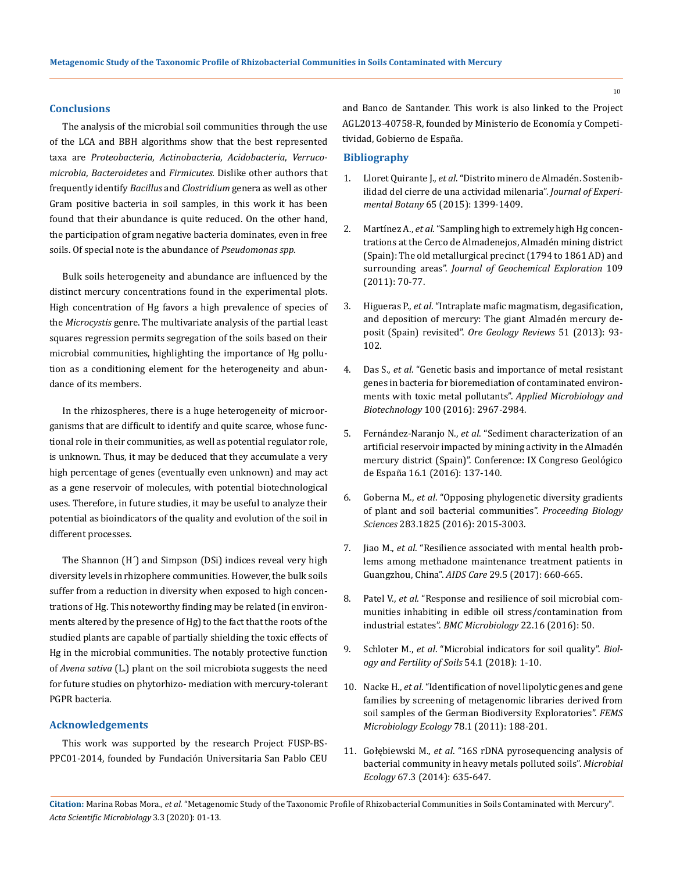#### **Conclusions**

The analysis of the microbial soil communities through the use of the LCA and BBH algorithms show that the best represented taxa are *Proteobacteria*, *Actinobacteria*, *Acidobacteria*, *Verrucomicrobia*, *Bacteroidetes* and *Firmicutes.* Dislike other authors that frequently identify *Bacillus* and *Clostridium* genera as well as other Gram positive bacteria in soil samples, in this work it has been found that their abundance is quite reduced. On the other hand, the participation of gram negative bacteria dominates, even in free soils. Of special note is the abundance of *Pseudomonas spp.*

Bulk soils heterogeneity and abundance are influenced by the distinct mercury concentrations found in the experimental plots. High concentration of Hg favors a high prevalence of species of the *Microcystis* genre. The multivariate analysis of the partial least squares regression permits segregation of the soils based on their microbial communities, highlighting the importance of Hg pollution as a conditioning element for the heterogeneity and abundance of its members.

In the rhizospheres, there is a huge heterogeneity of microorganisms that are difficult to identify and quite scarce, whose functional role in their communities, as well as potential regulator role, is unknown. Thus, it may be deduced that they accumulate a very high percentage of genes (eventually even unknown) and may act as a gene reservoir of molecules, with potential biotechnological uses. Therefore, in future studies, it may be useful to analyze their potential as bioindicators of the quality and evolution of the soil in different processes.

The Shannon (H´) and Simpson (DSi) indices reveal very high diversity levels in rhizophere communities. However, the bulk soils suffer from a reduction in diversity when exposed to high concentrations of Hg. This noteworthy finding may be related (in environments altered by the presence of Hg) to the fact that the roots of the studied plants are capable of partially shielding the toxic effects of Hg in the microbial communities. The notably protective function of *Avena sativa* (L.) plant on the soil microbiota suggests the need for future studies on phytorhizo- mediation with mercury-tolerant PGPR bacteria.

#### **Acknowledgements**

This work was supported by the research Project FUSP-BS-PPC01-2014, founded by Fundación Universitaria San Pablo CEU and Banco de Santander. This work is also linked to the Project AGL2013-40758-R, founded by Ministerio de Economía y Competitividad, Gobierno de España.

#### **Bibliography**

- 1. Lloret Quirante J., *et al*. "Distrito minero de Almadén. Sostenibilidad del cierre de una actividad milenaria". *Journal of Experimental Botany* 65 (2015): 1399-1409.
- 2. Martínez A., *et al*[. "Sampling high to extremely high Hg concen](https://www.researchgate.net/publication/257189274_Sampling_high_to_extremely_high_Hg_concentrations_at_the_Cerco_de_Almadenejos_Almaden_mining_district_Spain_The_old_metallurgical_precinct_1794_to_1861_AD_and_surrounding_areas)[trations at the Cerco de Almadenejos, Almadén mining district](https://www.researchgate.net/publication/257189274_Sampling_high_to_extremely_high_Hg_concentrations_at_the_Cerco_de_Almadenejos_Almaden_mining_district_Spain_The_old_metallurgical_precinct_1794_to_1861_AD_and_surrounding_areas)  [\(Spain\): The old metallurgical precinct \(1794 to 1861 AD\) and](https://www.researchgate.net/publication/257189274_Sampling_high_to_extremely_high_Hg_concentrations_at_the_Cerco_de_Almadenejos_Almaden_mining_district_Spain_The_old_metallurgical_precinct_1794_to_1861_AD_and_surrounding_areas)  surrounding areas". *[Journal of Geochemical Exploration](https://www.researchgate.net/publication/257189274_Sampling_high_to_extremely_high_Hg_concentrations_at_the_Cerco_de_Almadenejos_Almaden_mining_district_Spain_The_old_metallurgical_precinct_1794_to_1861_AD_and_surrounding_areas)* 109 [\(2011\): 70-77.](https://www.researchgate.net/publication/257189274_Sampling_high_to_extremely_high_Hg_concentrations_at_the_Cerco_de_Almadenejos_Almaden_mining_district_Spain_The_old_metallurgical_precinct_1794_to_1861_AD_and_surrounding_areas)
- 3. Higueras P., *et al*[. "Intraplate mafic magmatism, degasification,](https://www.sciencedirect.com/science/article/pii/S0169136812002375)  [and deposition of mercury: The giant Almadén mercury de](https://www.sciencedirect.com/science/article/pii/S0169136812002375)[posit \(Spain\) revisited".](https://www.sciencedirect.com/science/article/pii/S0169136812002375) *Ore Geology Reviews* 51 (2013): 93- [102.](https://www.sciencedirect.com/science/article/pii/S0169136812002375)
- 4. Das S., *et al*[. "Genetic basis and importance of metal resistant](https://www.ncbi.nlm.nih.gov/pubmed/26860944)  [genes in bacteria for bioremediation of contaminated environ](https://www.ncbi.nlm.nih.gov/pubmed/26860944)[ments with toxic metal pollutants".](https://www.ncbi.nlm.nih.gov/pubmed/26860944) *Applied Microbiology and Biotechnology* [100 \(2016\): 2967-2984.](https://www.ncbi.nlm.nih.gov/pubmed/26860944)
- 5. Fernández-Naranjo N., *et al*[. "Sediment characterization of an](https://www.researchgate.net/publication/308159133_Sediment_characterization_of_an_artificial_reservoir_impacted_by_mining_activity_in_the_Almaden_mercury_district_Spain)  [artificial reservoir impacted by mining activity in the Almadén](https://www.researchgate.net/publication/308159133_Sediment_characterization_of_an_artificial_reservoir_impacted_by_mining_activity_in_the_Almaden_mercury_district_Spain)  [mercury district \(Spain\)". Conference: IX Congreso Geológico](https://www.researchgate.net/publication/308159133_Sediment_characterization_of_an_artificial_reservoir_impacted_by_mining_activity_in_the_Almaden_mercury_district_Spain)  [de España 16.1 \(2016\): 137-140.](https://www.researchgate.net/publication/308159133_Sediment_characterization_of_an_artificial_reservoir_impacted_by_mining_activity_in_the_Almaden_mercury_district_Spain)
- 6. Goberna M., *et al*[. "Opposing phylogenetic diversity gradients](https://www.ncbi.nlm.nih.gov/pubmed/26888037)  [of plant and soil bacterial communities".](https://www.ncbi.nlm.nih.gov/pubmed/26888037) *Proceeding Biology Sciences* [283.1825 \(2016\): 2015-3003.](https://www.ncbi.nlm.nih.gov/pubmed/26888037)
- 7. Jiao M., *et al*[. "Resilience associated with mental health prob](https://www.ncbi.nlm.nih.gov/pubmed/27825278)[lems among methadone maintenance treatment patients in](https://www.ncbi.nlm.nih.gov/pubmed/27825278)  Guangzhou, China". *AIDS Care* [29.5 \(2017\): 660-665.](https://www.ncbi.nlm.nih.gov/pubmed/27825278)
- 8. Patel V., *et al*[. "Response and resilience of soil microbial com](https://bmcmicrobiol.biomedcentral.com/articles/10.1186/s12866-016-0669-8)[munities inhabiting in edible oil stress/contamination from](https://bmcmicrobiol.biomedcentral.com/articles/10.1186/s12866-016-0669-8)  industrial estates". *[BMC Microbiology](https://bmcmicrobiol.biomedcentral.com/articles/10.1186/s12866-016-0669-8)* 22.16 (2016): 50.
- 9. Schloter M., *et al*[. "Microbial indicators for soil quality".](https://link.springer.com/article/10.1007/s00374-017-1248-3) *Biol[ogy and Fertility of Soils](https://link.springer.com/article/10.1007/s00374-017-1248-3)* 54.1 (2018): 1-10.
- 10. Nacke H., *et al*[. "Identification of novel lipolytic genes and gene](https://academic.oup.com/femsec/article/78/1/188/521225)  [families by screening of metagenomic libraries derived from](https://academic.oup.com/femsec/article/78/1/188/521225)  [soil samples of the German Biodiversity Exploratories".](https://academic.oup.com/femsec/article/78/1/188/521225) *FEMS [Microbiology Ecology](https://academic.oup.com/femsec/article/78/1/188/521225)* 78.1 (2011): 188-201.
- 11. Gołębiewski M., *et al*[. "16S rDNA pyrosequencing analysis of](https://link.springer.com/article/10.1007/s00248-013-0344-7)  [bacterial community in heavy metals polluted soils".](https://link.springer.com/article/10.1007/s00248-013-0344-7) *Microbial Ecology* [67.3 \(2014\): 635-647.](https://link.springer.com/article/10.1007/s00248-013-0344-7)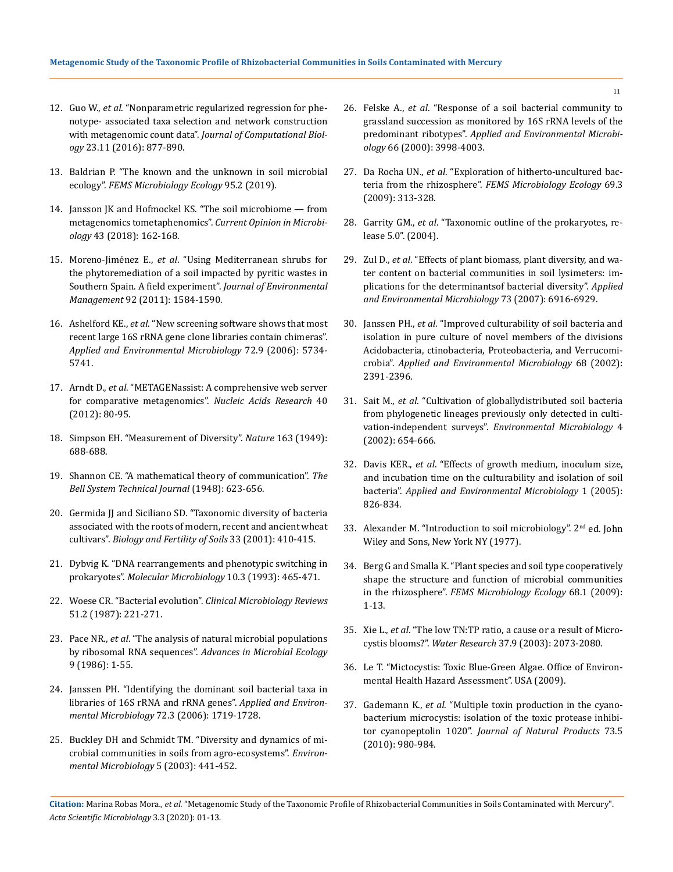- 12. Guo W., *et al*[. "Nonparametric regularized regression for phe](https://www.ncbi.nlm.nih.gov/pubmed/27427793)[notype- associated taxa selection and network construction](https://www.ncbi.nlm.nih.gov/pubmed/27427793)  with metagenomic count data". *[Journal of Computational Biol](https://www.ncbi.nlm.nih.gov/pubmed/27427793)ogy* [23.11 \(2016\): 877-890.](https://www.ncbi.nlm.nih.gov/pubmed/27427793)
- 13. [Baldrian P. "The known and the unknown in soil microbial](https://academic.oup.com/femsec/article/95/2/fiz005/5281230)  ecology". *[FEMS Microbiology Ecology](https://academic.oup.com/femsec/article/95/2/fiz005/5281230)* 95.2 (2019).
- 14. [Jansson JK and Hofmockel KS. "The soil microbiome from](https://www.sciencedirect.com/science/article/pii/S1369527417302205)  [metagenomics tometaphenomics".](https://www.sciencedirect.com/science/article/pii/S1369527417302205) *Current Opinion in Microbiology* [43 \(2018\): 162-168.](https://www.sciencedirect.com/science/article/pii/S1369527417302205)
- 15. Moreno-Jiménez E., *et al*[. "Using Mediterranean shrubs for](https://www.sciencedirect.com/science/article/pii/S0301479711000296)  [the phytoremediation of a soil impacted by pyritic wastes in](https://www.sciencedirect.com/science/article/pii/S0301479711000296)  [Southern Spain. A field experiment".](https://www.sciencedirect.com/science/article/pii/S0301479711000296) *Journal of Environmental Management* [92 \(2011\): 1584-1590.](https://www.sciencedirect.com/science/article/pii/S0301479711000296)
- 16. Ashelford KE., *et al*[. "New screening software shows that most](https://aem.asm.org/content/72/9/5734.abstract)  [recent large 16S rRNA gene clone libraries contain chimeras".](https://aem.asm.org/content/72/9/5734.abstract)  *[Applied and Environmental Microbiology](https://aem.asm.org/content/72/9/5734.abstract)* 72.9 (2006): 5734- [5741.](https://aem.asm.org/content/72/9/5734.abstract)
- 17. Arndt D., *et al*[. "METAGENassist: A comprehensive web server](https://www.researchgate.net/publication/225074425_METAGENassist_A_comprehensive_web_server_for_comparative_metagenomics)  [for comparative metagenomics".](https://www.researchgate.net/publication/225074425_METAGENassist_A_comprehensive_web_server_for_comparative_metagenomics) *Nucleic Acids Research* 40 [\(2012\): 80-95.](https://www.researchgate.net/publication/225074425_METAGENassist_A_comprehensive_web_server_for_comparative_metagenomics)
- 18. [Simpson EH. "Measurement of Diversity".](https://www.nature.com/articles/163688a0) *Nature* 163 (1949): [688-688.](https://www.nature.com/articles/163688a0)
- 19. [Shannon CE. "A mathematical theory of communication".](http://people.math.harvard.edu/~ctm/home/text/others/shannon/entropy/entropy.pdf) *The [Bell System Technical Journal](http://people.math.harvard.edu/~ctm/home/text/others/shannon/entropy/entropy.pdf)* (1948): 623-656.
- 20. [Germida JJ and Siciliano SD. "Taxonomic diversity of bacteria](https://link.springer.com/article/10.1007/s003740100343)  [associated with the roots of modern, recent and ancient wheat](https://link.springer.com/article/10.1007/s003740100343)  cultivars". *[Biology and Fertility of Soils](https://link.springer.com/article/10.1007/s003740100343)* 33 (2001): 410-415.
- 21. [Dybvig K. "DNA rearrangements and phenotypic switching in](https://www.ncbi.nlm.nih.gov/pubmed/7968525)  prokaryotes". *[Molecular Microbiology](https://www.ncbi.nlm.nih.gov/pubmed/7968525)* 10.3 (1993): 465-471.
- 22. Woese CR. "Bacterial evolution". *[Clinical Microbiology Reviews](https://www.ncbi.nlm.nih.gov/pmc/articles/PMC373105/)* [51.2 \(1987\): 221-271.](https://www.ncbi.nlm.nih.gov/pmc/articles/PMC373105/)
- 23. Pace NR., *et al*[. "The analysis of natural microbial populations](https://link.springer.com/chapter/10.1007/978-1-4757-0611-6_1)  by ribosomal RNA sequences". *[Advances in Microbial Ecology](https://link.springer.com/chapter/10.1007/978-1-4757-0611-6_1)* [9 \(1986\): 1-55.](https://link.springer.com/chapter/10.1007/978-1-4757-0611-6_1)
- 24. [Janssen PH. "Identifying the dominant soil bacterial taxa in](https://www.ncbi.nlm.nih.gov/pubmed/16517615)  [libraries of 16S rRNA and rRNA genes".](https://www.ncbi.nlm.nih.gov/pubmed/16517615) *Applied and Environmental Microbiology* [72.3 \(2006\): 1719-1728.](https://www.ncbi.nlm.nih.gov/pubmed/16517615)
- 25. [Buckley DH and Schmidt TM. "Diversity and dynamics of mi](https://f1000.com/prime/1013799)[crobial communities in soils from agro-ecosystems".](https://f1000.com/prime/1013799) *Environ[mental Microbiology](https://f1000.com/prime/1013799)* 5 (2003): 441-452.
- 26. Felske A., *et al*[. "Response of a soil bacterial community to](https://www.ncbi.nlm.nih.gov/pubmed/10966420)  [grassland succession as monitored by 16S rRNA levels of the](https://www.ncbi.nlm.nih.gov/pubmed/10966420)  predominant ribotypes". *[Applied and Environmental Microbi](https://www.ncbi.nlm.nih.gov/pubmed/10966420)ology* [66 \(2000\): 3998-4003.](https://www.ncbi.nlm.nih.gov/pubmed/10966420)
- 27. Da Rocha UN., *et al*[. "Exploration of hitherto-uncultured bac](https://academic.oup.com/femsec/article/69/3/313/542979)teria from the rhizosphere". *[FEMS Microbiology Ecology](https://academic.oup.com/femsec/article/69/3/313/542979)* 69.3 [\(2009\): 313-328.](https://academic.oup.com/femsec/article/69/3/313/542979)
- 28. Garrity GM., *et al*[. "Taxonomic outline of the prokaryotes, re](https://laurieximenez.files.wordpress.com/2012/02/3-taxonomia-de-prokaryotes-bergeys-msb-2004.pdf)[lease 5.0". \(2004\).](https://laurieximenez.files.wordpress.com/2012/02/3-taxonomia-de-prokaryotes-bergeys-msb-2004.pdf)
- 29. Zul D., *et al*[. "Effects of plant biomass, plant diversity, and wa](https://aem.asm.org/content/73/21/6916)[ter content on bacterial communities in soil lysimeters: im](https://aem.asm.org/content/73/21/6916)[plications for the determinantsof bacterial diversity".](https://aem.asm.org/content/73/21/6916) *Applied [and Environmental Microbiology](https://aem.asm.org/content/73/21/6916)* 73 (2007): 6916-6929.
- 30. Janssen PH., *et al*[. "Improved culturability of soil bacteria and](https://www.ncbi.nlm.nih.gov/pubmed/11976113)  [isolation in pure culture of novel members of the divisions](https://www.ncbi.nlm.nih.gov/pubmed/11976113) [Acidobacteria, ctinobacteria, Proteobacteria, and Verrucomi](https://www.ncbi.nlm.nih.gov/pubmed/11976113)crobia". *[Applied and Environmental Microbiology](https://www.ncbi.nlm.nih.gov/pubmed/11976113)* 68 (2002): [2391-2396.](https://www.ncbi.nlm.nih.gov/pubmed/11976113)
- 31. Sait M., *et al*[. "Cultivation of globallydistributed soil bacteria](https://www.researchgate.net/publication/11010717_Cultivation_of_globally_distributed_soil_bacteria_from_phylogenetic_lineages_previously_only_detected_in_cultivation-independent_surveys_Cultivation_of_soil_bacteria)  [from phylogenetic lineages previously only detected in culti](https://www.researchgate.net/publication/11010717_Cultivation_of_globally_distributed_soil_bacteria_from_phylogenetic_lineages_previously_only_detected_in_cultivation-independent_surveys_Cultivation_of_soil_bacteria)vation-independent surveys". *[Environmental Microbiology](https://www.researchgate.net/publication/11010717_Cultivation_of_globally_distributed_soil_bacteria_from_phylogenetic_lineages_previously_only_detected_in_cultivation-independent_surveys_Cultivation_of_soil_bacteria)* 4 [\(2002\): 654-666.](https://www.researchgate.net/publication/11010717_Cultivation_of_globally_distributed_soil_bacteria_from_phylogenetic_lineages_previously_only_detected_in_cultivation-independent_surveys_Cultivation_of_soil_bacteria)
- 32. Davis KER., *et al*[. "Effects of growth medium, inoculum size,](https://www.ncbi.nlm.nih.gov/pubmed/15691937)  [and incubation time on the culturability and isolation of soil](https://www.ncbi.nlm.nih.gov/pubmed/15691937)  bacteria". *[Applied and Environmental Microbiology](https://www.ncbi.nlm.nih.gov/pubmed/15691937)* 1 (2005): [826-834.](https://www.ncbi.nlm.nih.gov/pubmed/15691937)
- 33. Alexander M. "Introduction to soil microbiology". 2nd ed. John Wiley and Sons, New York NY (1977).
- 34. [Berg G and Smalla K. "Plant species and soil type cooperatively](https://www.ncbi.nlm.nih.gov/pubmed/19243436)  [shape the structure and function of microbial communities](https://www.ncbi.nlm.nih.gov/pubmed/19243436)  in the rhizosphere". *[FEMS Microbiology Ecology](https://www.ncbi.nlm.nih.gov/pubmed/19243436)* 68.1 (2009): [1-13.](https://www.ncbi.nlm.nih.gov/pubmed/19243436)
- 35. Xie L., *et al*[. "The low TN:TP ratio, a cause or a result of Micro](https://www.ncbi.nlm.nih.gov/pubmed/12691892)cystis blooms?". *Water Research* [37.9 \(2003\): 2073-2080.](https://www.ncbi.nlm.nih.gov/pubmed/12691892)
- 36. [Le T. "Mictocystis: Toxic Blue-Green Algae. Office of Environ](https://oehha.ca.gov/media/downloads/ecotoxicology/fact-sheet/microfactsheet122408.pdf)[mental Health Hazard Assessment". USA \(2009\).](https://oehha.ca.gov/media/downloads/ecotoxicology/fact-sheet/microfactsheet122408.pdf)
- 37. Gademann K., *et al*[. "Multiple toxin production in the cyano](https://www.researchgate.net/publication/43225885_Multiple_Toxin_Production_in_the_Cyanobacterium_Microcystis_Isolation_of_the_Toxic_Protease_Inhibitor_Cyanopeptolin_1020)[bacterium microcystis: isolation of the toxic protease inhibi](https://www.researchgate.net/publication/43225885_Multiple_Toxin_Production_in_the_Cyanobacterium_Microcystis_Isolation_of_the_Toxic_Protease_Inhibitor_Cyanopeptolin_1020)tor cyanopeptolin 1020". *[Journal of Natural Products](https://www.researchgate.net/publication/43225885_Multiple_Toxin_Production_in_the_Cyanobacterium_Microcystis_Isolation_of_the_Toxic_Protease_Inhibitor_Cyanopeptolin_1020)* 73.5 [\(2010\): 980-984.](https://www.researchgate.net/publication/43225885_Multiple_Toxin_Production_in_the_Cyanobacterium_Microcystis_Isolation_of_the_Toxic_Protease_Inhibitor_Cyanopeptolin_1020)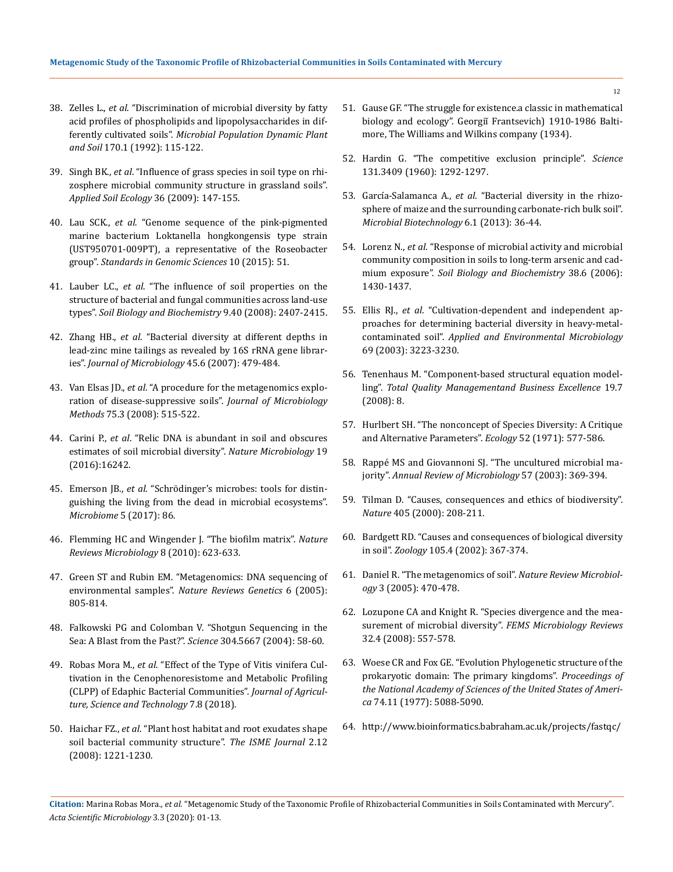- 38. Zelles L., *et al*[. "Discrimination of microbial diversity by fatty](https://link.springer.com/article/10.1007/BF02183059)  [acid profiles of phospholipids and lipopolysaccharides in dif](https://link.springer.com/article/10.1007/BF02183059)ferently cultivated soils". *[Microbial Population Dynamic](https://link.springer.com/article/10.1007/BF02183059) Plant and Soil* [170.1 \(1992\): 115-122.](https://link.springer.com/article/10.1007/BF02183059)
- 39. Singh BK., *et al*[. "Influence of grass species in soil type on rhi](https://www.researchgate.net/publication/284180984_Influence_of_grass_species_and_soil_type_on_rhizosphere_microbial_community_structure_in_grassland_soils)[zosphere microbial community structure in grassland soils".](https://www.researchgate.net/publication/284180984_Influence_of_grass_species_and_soil_type_on_rhizosphere_microbial_community_structure_in_grassland_soils)  *[Applied Soil Ecology](https://www.researchgate.net/publication/284180984_Influence_of_grass_species_and_soil_type_on_rhizosphere_microbial_community_structure_in_grassland_soils)* 36 (2009): 147-155.
- 40. Lau SCK., *et al*[. "Genome sequence of the pink-pigmented](https://www.ncbi.nlm.nih.gov/pmc/articles/PMC4572655/)  [marine bacterium Loktanella hongkongensis type strain](https://www.ncbi.nlm.nih.gov/pmc/articles/PMC4572655/)  [\(UST950701-009PT\), a representative of the Roseobacter](https://www.ncbi.nlm.nih.gov/pmc/articles/PMC4572655/)  group". *[Standards in Genomic Sciences](https://www.ncbi.nlm.nih.gov/pmc/articles/PMC4572655/)* 10 (2015): 51.
- 41. Lauber LC., *et al*[. "The influence of soil properties on the](https://www.sciencedirect.com/science/article/abs/pii/S0038071708001764)  [structure of bacterial and fungal communities across land-use](https://www.sciencedirect.com/science/article/abs/pii/S0038071708001764)  types". *[Soil Biology and Biochemistry](https://www.sciencedirect.com/science/article/abs/pii/S0038071708001764)* 9.40 (2008): 2407-2415.
- 42. Zhang HB., *et al*[. "Bacterial diversity at different depths in](https://www.ncbi.nlm.nih.gov/pubmed/18176528)  [lead-zinc mine tailings as revealed by 16S rRNA gene librar](https://www.ncbi.nlm.nih.gov/pubmed/18176528)ies". *[Journal of Microbiology](https://www.ncbi.nlm.nih.gov/pubmed/18176528)* 45.6 (2007): 479-484.
- 43. Van Elsas JD., *et al*[. "A procedure for the metagenomics explo](https://www.ncbi.nlm.nih.gov/pubmed/18778739)[ration of disease-suppressive soils".](https://www.ncbi.nlm.nih.gov/pubmed/18778739) *Journal of Microbiology Methods* [75.3 \(2008\): 515-522.](https://www.ncbi.nlm.nih.gov/pubmed/18778739)
- 44. Carini P., *et al*[. "Relic DNA is abundant in soil and obscures](https://www.nature.com/articles/nmicrobiol2016242)  [estimates of soil microbial diversity".](https://www.nature.com/articles/nmicrobiol2016242) *Nature Microbiology* 19 [\(2016\):16242.](https://www.nature.com/articles/nmicrobiol2016242)
- 45. Emerson JB., *et al*[. "Schrödinger's microbes: tools for distin](https://microbiomejournal.biomedcentral.com/articles/10.1186/s40168-017-0285-3)[guishing the living from the dead in microbial ecosystems".](https://microbiomejournal.biomedcentral.com/articles/10.1186/s40168-017-0285-3)  *Microbiome* [5 \(2017\): 86.](https://microbiomejournal.biomedcentral.com/articles/10.1186/s40168-017-0285-3)
- 46. [Flemming HC and Wingender J. "The biofilm matrix".](https://www.ncbi.nlm.nih.gov/pubmed/20676145) *Nature [Reviews Microbiology](https://www.ncbi.nlm.nih.gov/pubmed/20676145)* 8 (2010): 623-633.
- 47. [Green ST and Rubin EM. "Metagenomics: DNA sequencing of](https://www.nature.com/articles/nrg1709)  [environmental samples".](https://www.nature.com/articles/nrg1709) *Nature Reviews Genetics* 6 (2005): [805-814.](https://www.nature.com/articles/nrg1709)
- 48. [Falkowski PG and Colomban V. "Shotgun Sequencing in the](https://science.sciencemag.org/content/304/5667/58)  [Sea: A Blast from the Past?".](https://science.sciencemag.org/content/304/5667/58) *Science* 304.5667 (2004): 58-60.
- 49. Robas Mora M., *et al*[. "Effect of the Type of Vitis vinifera Cul](https://www.researchgate.net/publication/324450232_Effect_of_the_Type_of_Vitis_vinifera_Cultivation_in_the_Cenophenoresistome_and_Metabolic_Profiling_CLPP_of_Edaphic_Bacterial_Communities)[tivation in the Cenophenoresistome and Metabolic Profiling](https://www.researchgate.net/publication/324450232_Effect_of_the_Type_of_Vitis_vinifera_Cultivation_in_the_Cenophenoresistome_and_Metabolic_Profiling_CLPP_of_Edaphic_Bacterial_Communities)  [\(CLPP\) of Edaphic Bacterial Communities".](https://www.researchgate.net/publication/324450232_Effect_of_the_Type_of_Vitis_vinifera_Cultivation_in_the_Cenophenoresistome_and_Metabolic_Profiling_CLPP_of_Edaphic_Bacterial_Communities) *Journal of Agricul[ture, Science and Technology](https://www.researchgate.net/publication/324450232_Effect_of_the_Type_of_Vitis_vinifera_Cultivation_in_the_Cenophenoresistome_and_Metabolic_Profiling_CLPP_of_Edaphic_Bacterial_Communities)* 7.8 (2018).
- 50. Haichar FZ., *et al*[. "Plant host habitat and root exudates shape](https://www.nature.com/articles/ismej200880)  [soil bacterial community structure".](https://www.nature.com/articles/ismej200880) *The ISME Journal* 2.12 [\(2008\): 1221-1230.](https://www.nature.com/articles/ismej200880)
- 51. Gause GF. "The struggle for existence.a classic in mathematical biology and ecology". Georgiĭ Frantsevich) 1910-1986 Baltimore, The Williams and Wilkins company (1934).
- 52. [Hardin G. "The competitive exclusion principle".](https://science.sciencemag.org/content/131/3409/1292) *Science*  [131.3409 \(1960\): 1292-1297.](https://science.sciencemag.org/content/131/3409/1292)
- 53. García-Salamanca A., *et al*[. "Bacterial diversity in the rhizo](https://www.ncbi.nlm.nih.gov/pubmed/22883414)[sphere of maize and the surrounding carbonate-rich bulk soil".](https://www.ncbi.nlm.nih.gov/pubmed/22883414)  *[Microbial Biotechnology](https://www.ncbi.nlm.nih.gov/pubmed/22883414)* 6.1 (2013): 36-44.
- 54. Lorenz N., *et al*[. "Response of microbial activity and microbial](https://www.sciencedirect.com/science/article/abs/pii/S0038071705004104)  [community composition in soils to long-term arsenic and cad](https://www.sciencedirect.com/science/article/abs/pii/S0038071705004104)mium exposure". *[Soil Biology and Biochemistry](https://www.sciencedirect.com/science/article/abs/pii/S0038071705004104)* 38.6 (2006): [1430-1437.](https://www.sciencedirect.com/science/article/abs/pii/S0038071705004104)
- 55. Ellis RJ., *et al*[. "Cultivation-dependent and independent ap](https://www.ncbi.nlm.nih.gov/pubmed/12788719)[proaches for determining bacterial diversity in heavy-metal](https://www.ncbi.nlm.nih.gov/pubmed/12788719)contaminated soil". *[Applied and Environmental Microbiology](https://www.ncbi.nlm.nih.gov/pubmed/12788719)* [69 \(2003\): 3223-3230.](https://www.ncbi.nlm.nih.gov/pubmed/12788719)
- 56. [Tenenhaus M. "Component-based structural equation model](https://www.tandfonline.com/doi/abs/10.1080/14783360802159543)ling". *[Total Quality Managementand Business Excellence](https://www.tandfonline.com/doi/abs/10.1080/14783360802159543)* 19.7 [\(2008\): 8.](https://www.tandfonline.com/doi/abs/10.1080/14783360802159543)
- 57. [Hurlbert SH. "The nonconcept of Species Diversity: A Critique](https://esajournals.onlinelibrary.wiley.com/doi/10.2307/1934145)  [and Alternative Parameters".](https://esajournals.onlinelibrary.wiley.com/doi/10.2307/1934145) *Ecology* 52 (1971): 577-586.
- 58. [Rappé MS and Giovannoni SJ. "The uncultured microbial ma](https://www.ncbi.nlm.nih.gov/pubmed/14527284)jority". *[Annual Review of Microbiology](https://www.ncbi.nlm.nih.gov/pubmed/14527284)* 57 (2003): 369-394.
- 59. [Tilman D. "Causes, consequences and ethics of biodiversity".](https://www.nature.com/articles/35012217)  *Nature* [405 \(2000\): 208-211.](https://www.nature.com/articles/35012217)
- 60. [Bardgett RD. "Causes and consequences of biological diversity](https://www.sciencedirect.com/science/article/abs/pii/S0944200604700756)  in soil". *Zoology* [105.4 \(2002\): 367-374.](https://www.sciencedirect.com/science/article/abs/pii/S0944200604700756)
- 61. [Daniel R. "The metagenomics of soil".](https://www.ncbi.nlm.nih.gov/pubmed/15931165) *Nature Review Microbiology* [3 \(2005\): 470-478.](https://www.ncbi.nlm.nih.gov/pubmed/15931165)
- 62. [Lozupone CA and Knight R. "Species divergence and the mea](https://www.ccg.unam.mx/~vinuesa/tlem09/docs/Lozupone_Microbial_diversity_measurement_lecture.pdf)[surement of microbial diversity".](https://www.ccg.unam.mx/~vinuesa/tlem09/docs/Lozupone_Microbial_diversity_measurement_lecture.pdf) *FEMS Microbiology Reviews* [32.4 \(2008\): 557-578.](https://www.ccg.unam.mx/~vinuesa/tlem09/docs/Lozupone_Microbial_diversity_measurement_lecture.pdf)
- 63. [Woese CR and Fox GE. "Evolution Phylogenetic structure of the](https://www.pnas.org/content/74/11/5088)  [prokaryotic domain: The primary kingdoms".](https://www.pnas.org/content/74/11/5088) *Proceedings of [the National Academy of Sciences of the United States of Ameri](https://www.pnas.org/content/74/11/5088)ca* [74.11 \(1977\): 5088-5090.](https://www.pnas.org/content/74/11/5088)
- 64. <http://www.bioinformatics.babraham.ac.uk/projects/fastqc/>